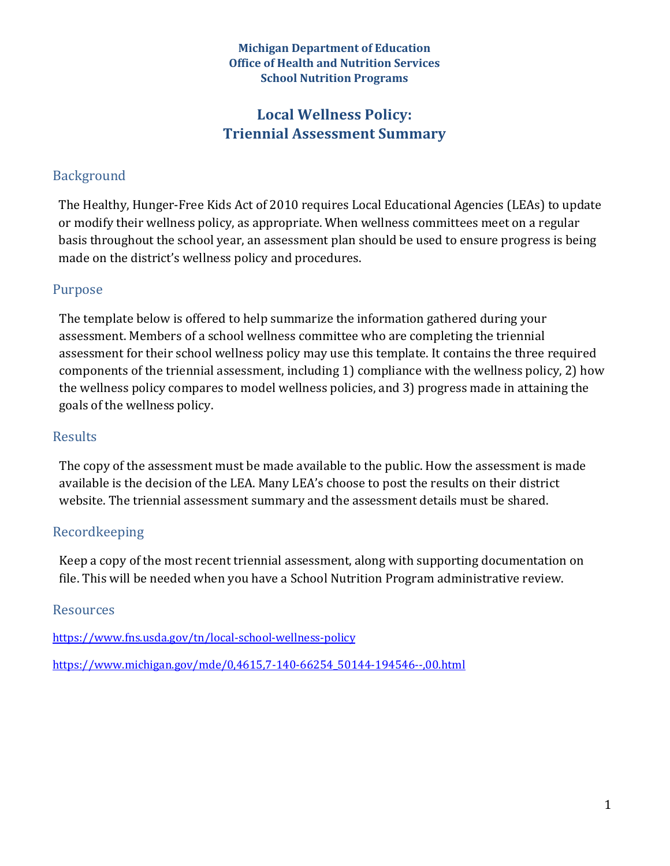#### **Michigan Department of Education Office of Health and Nutrition Services School Nutrition Programs**

# Local Wellness Policy: **Triennial Assessment Summary**

## Background

The Healthy, Hunger-Free Kids Act of 2010 requires Local Educational Agencies (LEAs) to update or modify their wellness policy, as appropriate. When wellness committees meet on a regular basis throughout the school year, an assessment plan should be used to ensure progress is being made on the district's wellness policy and procedures.

### Purpose

The template below is offered to help summarize the information gathered during your assessment. Members of a school wellness committee who are completing the triennial assessment for their school wellness policy may use this template. It contains the three required components of the triennial assessment, including 1) compliance with the wellness policy, 2) how the wellness policy compares to model wellness policies, and 3) progress made in attaining the goals of the wellness policy.

#### **Results**

The copy of the assessment must be made available to the public. How the assessment is made available is the decision of the LEA. Many LEA's choose to post the results on their district website. The triennial assessment summary and the assessment details must be shared.

### Recordkeeping

Keep a copy of the most recent triennial assessment, along with supporting documentation on file. This will be needed when you have a School Nutrition Program administrative review.

#### Resources

https://www.fns.usda.gov/tn/local-school-wellness-policy

https://www.michigan.gov/mde/0,4615,7-140-66254\_50144-194546--,00.html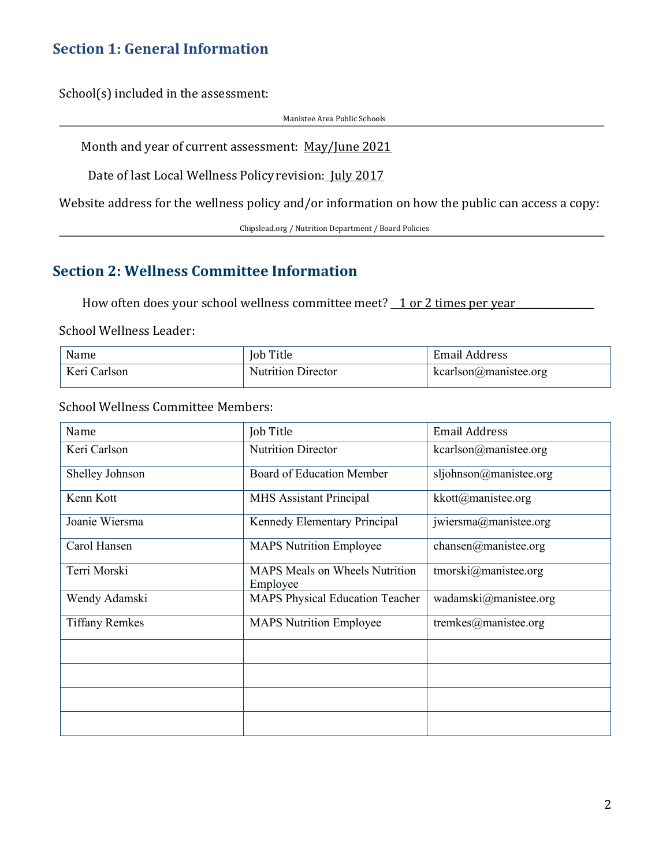## **Section 1: General Information**

 $School(s)$  included in the assessment:

Manistee Area Public Schools

Month and year of current assessment: May/June 2021

Date of last Local Wellness Policy revision: July 2017

Website address for the wellness policy and/or information on how the public can access a copy:

Chipslead.org / Nutrition Department / Board Policies

# **Section 2: Wellness Committee Information**

How often does your school wellness committee meet?  $\perp$  or 2 times per year

School Wellness Leader:

| Name         | <b>Job Title</b>          | <b>Email Address</b>       |
|--------------|---------------------------|----------------------------|
| Keri Carlson | <b>Nutrition Director</b> | $kcarlson(a)$ manistee.org |

School Wellness Committee Members:

| Name                  | Job Title                                         | <b>Email Address</b>     |  |
|-----------------------|---------------------------------------------------|--------------------------|--|
| Keri Carlson          | <b>Nutrition Director</b>                         | kcarlson@manistee.org    |  |
| Shelley Johnson       | Board of Education Member                         | sljohnson@manistee.org   |  |
| Kenn Kott             | <b>MHS</b> Assistant Principal                    | kkott@manistee.org       |  |
| Joanie Wiersma        | Kennedy Elementary Principal                      | jwiersma@manistee.org    |  |
| Carol Hansen          | <b>MAPS Nutrition Employee</b>                    | chansen@manistee.org     |  |
| Terri Morski          | <b>MAPS</b> Meals on Wheels Nutrition<br>Employee | tmorski@manistee.org     |  |
| Wendy Adamski         | <b>MAPS Physical Education Teacher</b>            | wadamski@manistee.org    |  |
| <b>Tiffany Remkes</b> | <b>MAPS Nutrition Employee</b>                    | tremkes $@$ manistee.org |  |
|                       |                                                   |                          |  |
|                       |                                                   |                          |  |
|                       |                                                   |                          |  |
|                       |                                                   |                          |  |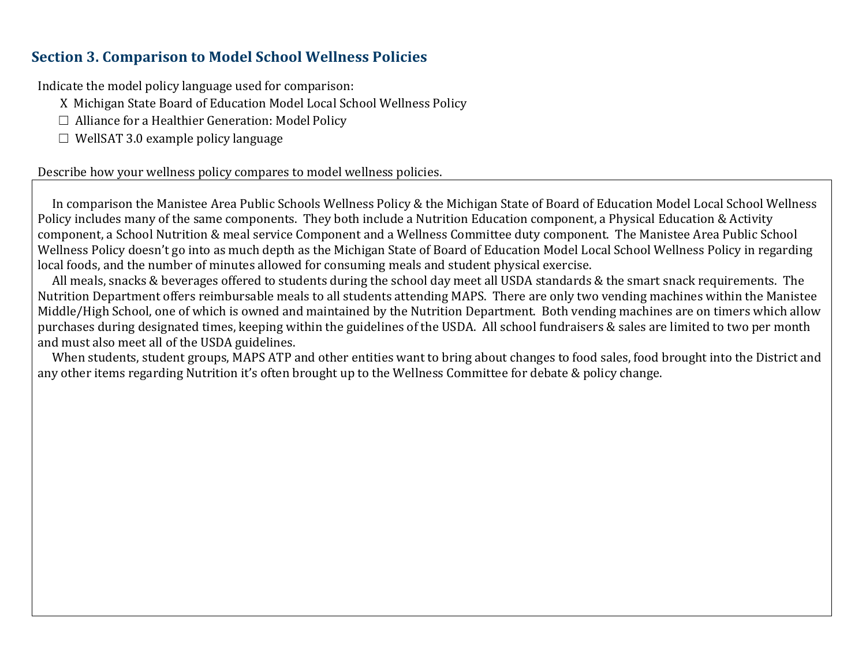## **Section 3. Comparison to Model School Wellness Policies**

Indicate the model policy language used for comparison:

X Michigan State Board of Education Model Local School Wellness Policy

- $\Box$  Alliance for a Healthier Generation: Model Policy
- $\Box$  WellSAT 3.0 example policy language

Describe how your wellness policy compares to model wellness policies.

In comparison the Manistee Area Public Schools Wellness Policy & the Michigan State of Board of Education Model Local School Wellness Policy includes many of the same components. They both include a Nutrition Education component, a Physical Education & Activity component, a School Nutrition & meal service Component and a Wellness Committee duty component. The Manistee Area Public School Wellness Policy doesn't go into as much depth as the Michigan State of Board of Education Model Local School Wellness Policy in regarding local foods, and the number of minutes allowed for consuming meals and student physical exercise.

All meals, snacks & beverages offered to students during the school day meet all USDA standards & the smart snack requirements. The Nutrition Department offers reimbursable meals to all students attending MAPS. There are only two vending machines within the Manistee Middle/High School, one of which is owned and maintained by the Nutrition Department. Both vending machines are on timers which allow purchases during designated times, keeping within the guidelines of the USDA. All school fundraisers & sales are limited to two per month and must also meet all of the USDA guidelines.

When students, student groups, MAPS ATP and other entities want to bring about changes to food sales, food brought into the District and any other items regarding Nutrition it's often brought up to the Wellness Committee for debate & policy change.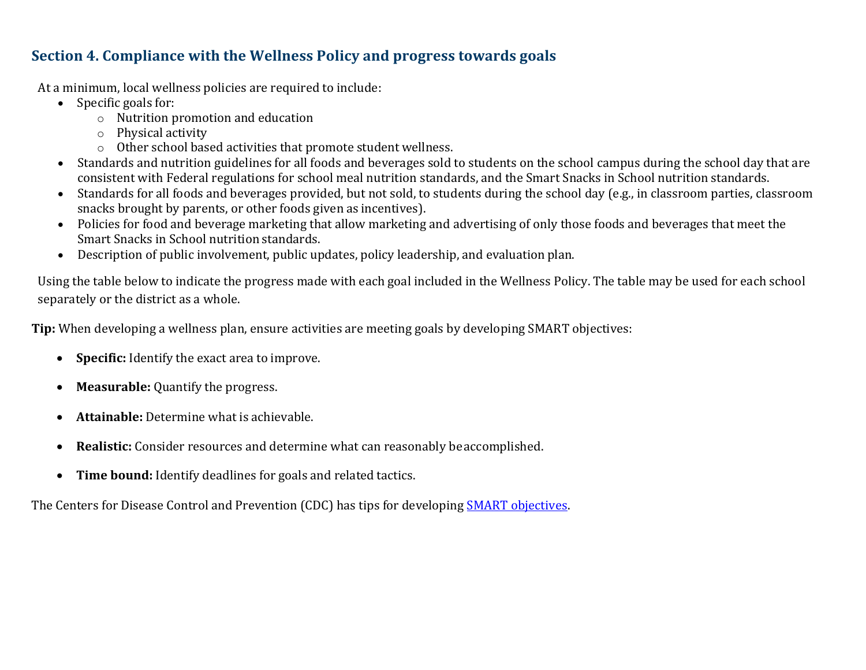# **Section 4. Compliance with the Wellness Policy and progress towards goals**

At a minimum, local wellness policies are required to include:

- Specific goals for:
	- $\circ$  Nutrition promotion and education
	- o Physical activity
	- $\circ$  Other school based activities that promote student wellness.
- Standards and nutrition guidelines for all foods and beverages sold to students on the school campus during the school day that are consistent with Federal regulations for school meal nutrition standards, and the Smart Snacks in School nutrition standards.
- Standards for all foods and beverages provided, but not sold, to students during the school day (e.g., in classroom parties, classroom snacks brought by parents, or other foods given as incentives).
- Policies for food and beverage marketing that allow marketing and advertising of only those foods and beverages that meet the Smart Snacks in School nutrition standards.
- Description of public involvement, public updates, policy leadership, and evaluation plan.

Using the table below to indicate the progress made with each goal included in the Wellness Policy. The table may be used for each school separately or the district as a whole.

**Tip:** When developing a wellness plan, ensure activities are meeting goals by developing SMART objectives:

- **Specific:** Identify the exact area to improve.
- Measurable: Quantify the progress.
- **Attainable:** Determine what is achievable.
- **Realistic:** Consider resources and determine what can reasonably be accomplished.
- **Time bound:** Identify deadlines for goals and related tactics.

The Centers for Disease Control and Prevention (CDC) has tips for developing SMART objectives.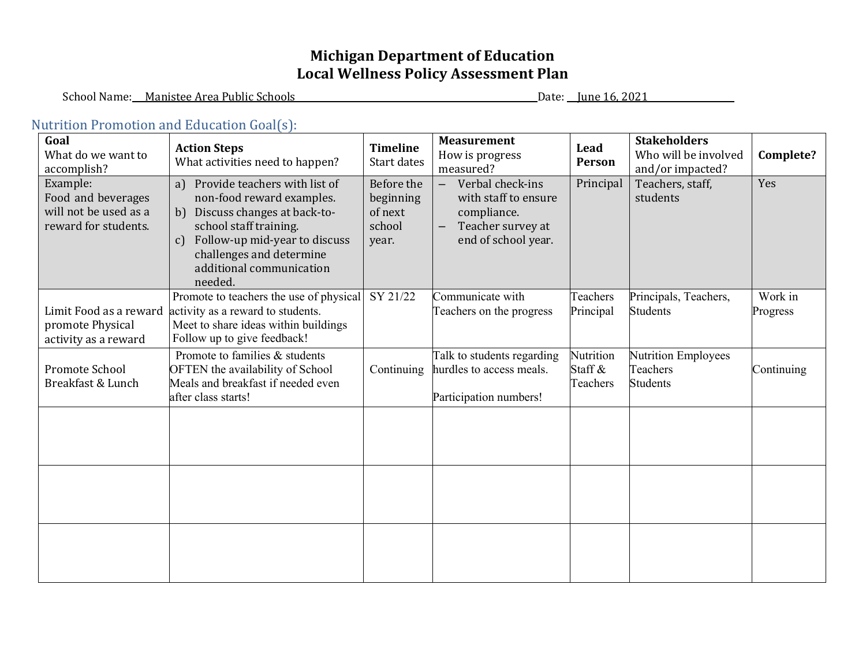# **Michigan Department of Education** Local Wellness Policy Assessment Plan

School Name: Manistee Area Public Schools Date: June 16, 2021

#### Nutrition Promotion and Education Goal(s):

| Goal<br>What do we want to<br>accomplish?                                       | <b>Action Steps</b><br>What activities need to happen?                                                                                                                                                                                              | <b>Timeline</b><br>Start dates                        | <b>Measurement</b><br>How is progress<br>measured?                                                                                            | Lead<br>Person                   | <b>Stakeholders</b><br>Who will be involved<br>and/or impacted? | Complete?           |
|---------------------------------------------------------------------------------|-----------------------------------------------------------------------------------------------------------------------------------------------------------------------------------------------------------------------------------------------------|-------------------------------------------------------|-----------------------------------------------------------------------------------------------------------------------------------------------|----------------------------------|-----------------------------------------------------------------|---------------------|
| Example:<br>Food and beverages<br>will not be used as a<br>reward for students. | Provide teachers with list of<br>a)<br>non-food reward examples.<br>Discuss changes at back-to-<br>b)<br>school staff training.<br>Follow-up mid-year to discuss<br>$\mathbf{c}$<br>challenges and determine<br>additional communication<br>needed. | Before the<br>beginning<br>of next<br>school<br>year. | Verbal check-ins<br>$\qquad \qquad -$<br>with staff to ensure<br>compliance.<br>Teacher survey at<br>$\qquad \qquad -$<br>end of school year. | Principal                        | Teachers, staff,<br>students                                    | Yes                 |
| Limit Food as a reward<br>promote Physical<br>activity as a reward              | Promote to teachers the use of physical<br>activity as a reward to students.<br>Meet to share ideas within buildings<br>Follow up to give feedback!                                                                                                 | SY 21/22                                              | Communicate with<br>Teachers on the progress                                                                                                  | Teachers<br>Principal            | Principals, Teachers,<br><b>Students</b>                        | Work in<br>Progress |
| Promote School<br>Breakfast & Lunch                                             | Promote to families & students<br>OFTEN the availability of School<br>Meals and breakfast if needed even<br>after class starts!                                                                                                                     | Continuing                                            | Talk to students regarding<br>hurdles to access meals.<br>Participation numbers!                                                              | Nutrition<br>Staff &<br>Teachers | Nutrition Employees<br>Teachers<br><b>Students</b>              | Continuing          |
|                                                                                 |                                                                                                                                                                                                                                                     |                                                       |                                                                                                                                               |                                  |                                                                 |                     |
|                                                                                 |                                                                                                                                                                                                                                                     |                                                       |                                                                                                                                               |                                  |                                                                 |                     |
|                                                                                 |                                                                                                                                                                                                                                                     |                                                       |                                                                                                                                               |                                  |                                                                 |                     |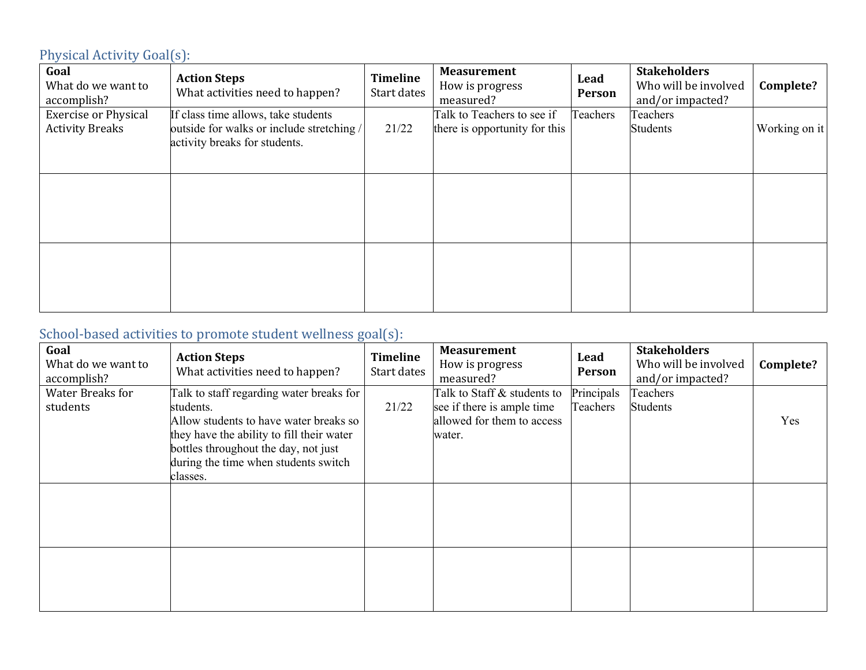# Physical Activity Goal(s):

| Goal<br>What do we want to<br>accomplish?             | <b>Action Steps</b><br>What activities need to happen?                                                            | <b>Timeline</b><br>Start dates | <b>Measurement</b><br>How is progress<br>measured?          | Lead<br>Person | <b>Stakeholders</b><br>Who will be involved<br>and/or impacted? | Complete?     |
|-------------------------------------------------------|-------------------------------------------------------------------------------------------------------------------|--------------------------------|-------------------------------------------------------------|----------------|-----------------------------------------------------------------|---------------|
| <b>Exercise or Physical</b><br><b>Activity Breaks</b> | If class time allows, take students<br>outside for walks or include stretching /<br>activity breaks for students. | 21/22                          | Talk to Teachers to see if<br>there is opportunity for this | Teachers       | Teachers<br><b>Students</b>                                     | Working on it |
|                                                       |                                                                                                                   |                                |                                                             |                |                                                                 |               |
|                                                       |                                                                                                                   |                                |                                                             |                |                                                                 |               |

# School-based activities to promote student wellness goal(s):

| Goal<br>What do we want to<br>accomplish? | <b>Action Steps</b><br>What activities need to happen?                                                                                                                                                                       | Timeline<br>Start dates | <b>Measurement</b><br>How is progress<br>measured?                                                | Lead<br>Person         | <b>Stakeholders</b><br>Who will be involved<br>and/or impacted? | Complete? |
|-------------------------------------------|------------------------------------------------------------------------------------------------------------------------------------------------------------------------------------------------------------------------------|-------------------------|---------------------------------------------------------------------------------------------------|------------------------|-----------------------------------------------------------------|-----------|
| <b>Water Breaks for</b><br>students       | Talk to staff regarding water breaks for<br>students.<br>Allow students to have water breaks so<br>they have the ability to fill their water<br>bottles throughout the day, not just<br>during the time when students switch | 21/22                   | Talk to Staff & students to<br>see if there is ample time<br>allowed for them to access<br>water. | Principals<br>Teachers | Teachers<br><b>Students</b>                                     | Yes       |
|                                           | classes.                                                                                                                                                                                                                     |                         |                                                                                                   |                        |                                                                 |           |
|                                           |                                                                                                                                                                                                                              |                         |                                                                                                   |                        |                                                                 |           |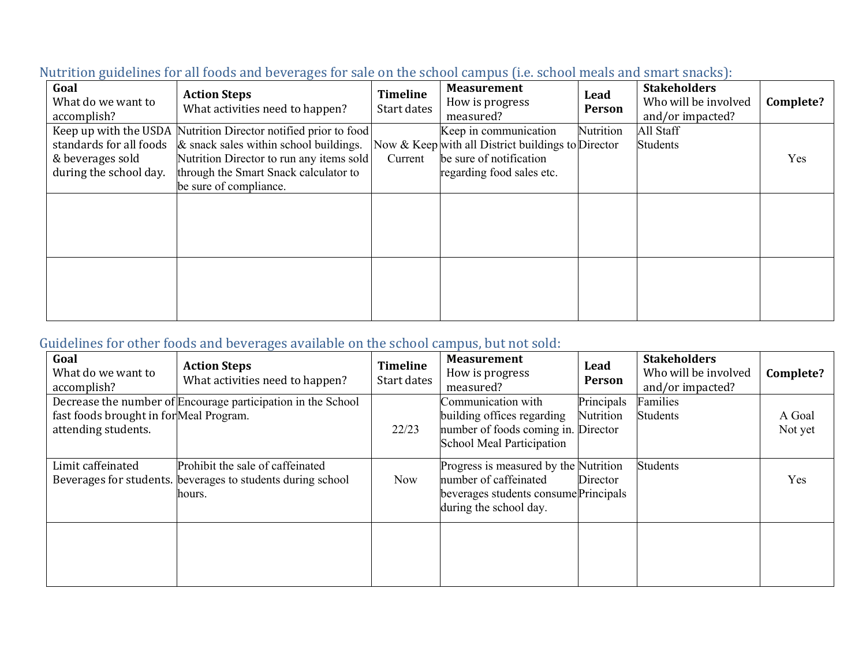| Goal<br>What do we want to<br>accomplish?                             | <b>Action Steps</b><br>What activities need to happen?                                                                                                                                                                      | <b>Timeline</b><br>Start dates | <b>Measurement</b><br>How is progress<br>measured?                                                                                  | Lead<br><b>Person</b> | <b>Stakeholders</b><br>Who will be involved<br>and/or impacted? | Complete? |
|-----------------------------------------------------------------------|-----------------------------------------------------------------------------------------------------------------------------------------------------------------------------------------------------------------------------|--------------------------------|-------------------------------------------------------------------------------------------------------------------------------------|-----------------------|-----------------------------------------------------------------|-----------|
| standards for all foods<br>& beverages sold<br>during the school day. | Keep up with the USDA Nutrition Director notified prior to food<br>$\&$ snack sales within school buildings.<br>Nutrition Director to run any items sold<br>through the Smart Snack calculator to<br>be sure of compliance. | Current                        | Keep in communication<br>Now & Keep with all District buildings to Director<br>be sure of notification<br>regarding food sales etc. | Nutrition             | All Staff<br><b>Students</b>                                    | Yes       |
|                                                                       |                                                                                                                                                                                                                             |                                |                                                                                                                                     |                       |                                                                 |           |
|                                                                       |                                                                                                                                                                                                                             |                                |                                                                                                                                     |                       |                                                                 |           |

#### Nutrition guidelines for all foods and beverages for sale on the school campus (i.e. school meals and smart snacks):

# Guidelines for other foods and beverages available on the school campus, but not sold:

| Goal<br>What do we want to<br>accomplish?                      | <b>Action Steps</b><br>What activities need to happen?                                                    | <b>Timeline</b><br>Start dates | <b>Measurement</b><br>How is progress<br>measured?                                                                                | Lead<br>Person          | <b>Stakeholders</b><br>Who will be involved<br>and/or impacted? | Complete?         |
|----------------------------------------------------------------|-----------------------------------------------------------------------------------------------------------|--------------------------------|-----------------------------------------------------------------------------------------------------------------------------------|-------------------------|-----------------------------------------------------------------|-------------------|
| fast foods brought in for Meal Program.<br>attending students. | Decrease the number of Encourage participation in the School                                              | 22/23                          | Communication with<br>building offices regarding<br>number of foods coming in. Director<br>School Meal Participation              | Principals<br>Nutrition | Families<br><b>Students</b>                                     | A Goal<br>Not yet |
| Limit caffeinated                                              | Prohibit the sale of caffeinated<br>Beverages for students. beverages to students during school<br>hours. | <b>Now</b>                     | Progress is measured by the Nutrition<br>number of caffeinated<br>beverages students consume Principals<br>during the school day. | Director                | <b>Students</b>                                                 | Yes               |
|                                                                |                                                                                                           |                                |                                                                                                                                   |                         |                                                                 |                   |